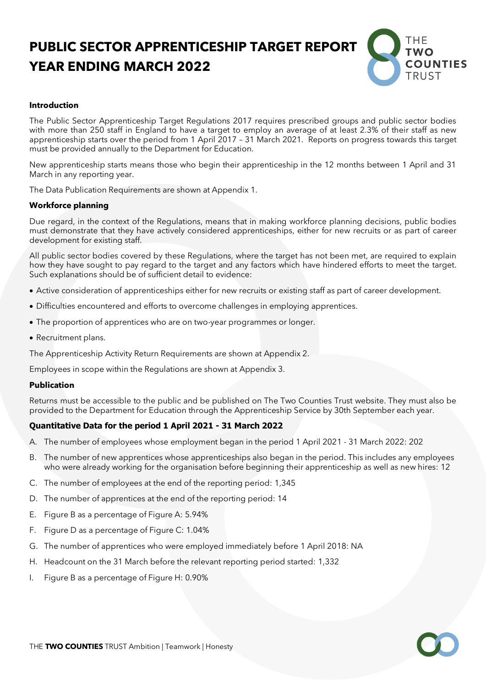# **PUBLIC SECTOR APPRENTICESHIP TARGET REPORT YEAR ENDING MARCH 2022**



# **Introduction**

The Public Sector Apprenticeship Target Regulations 2017 requires prescribed groups and public sector bodies with more than 250 staff in England to have a target to employ an average of at least 2.3% of their staff as new apprenticeship starts over the period from 1 April 2017 – 31 March 2021. Reports on progress towards this target must be provided annually to the Department for Education.

New apprenticeship starts means those who begin their apprenticeship in the 12 months between 1 April and 31 March in any reporting year.

The Data Publication Requirements are shown at Appendix 1.

# **Workforce planning**

Due regard, in the context of the Regulations, means that in making workforce planning decisions, public bodies must demonstrate that they have actively considered apprenticeships, either for new recruits or as part of career development for existing staff.

All public sector bodies covered by these Regulations, where the target has not been met, are required to explain how they have sought to pay regard to the target and any factors which have hindered efforts to meet the target. Such explanations should be of sufficient detail to evidence:

- Active consideration of apprenticeships either for new recruits or existing staff as part of career development.
- Difficulties encountered and efforts to overcome challenges in employing apprentices.
- The proportion of apprentices who are on two-year programmes or longer.
- Recruitment plans.

The Apprenticeship Activity Return Requirements are shown at Appendix 2.

Employees in scope within the Regulations are shown at Appendix 3.

# **Publication**

Returns must be accessible to the public and be published on The Two Counties Trust website. They must also be provided to the Department for Education through the Apprenticeship Service by 30th September each year.

# **Quantitative Data for the period 1 April 2021 - 31 March 2022**

- A. The number of employees whose employment began in the period 1 April 2021 31 March 2022: 202
- B. The number of new apprentices whose apprenticeships also began in the period. This includes any employees who were already working for the organisation before beginning their apprenticeship as well as new hires: 12
- C. The number of employees at the end of the reporting period: 1,345
- D. The number of apprentices at the end of the reporting period: 14
- E. Figure B as a percentage of Figure A: 5.94%
- F. Figure D as a percentage of Figure C: 1.04%
- G. The number of apprentices who were employed immediately before 1 April 2018: NA
- H. Headcount on the 31 March before the relevant reporting period started: 1,332
- I. Figure B as a percentage of Figure H: 0.90%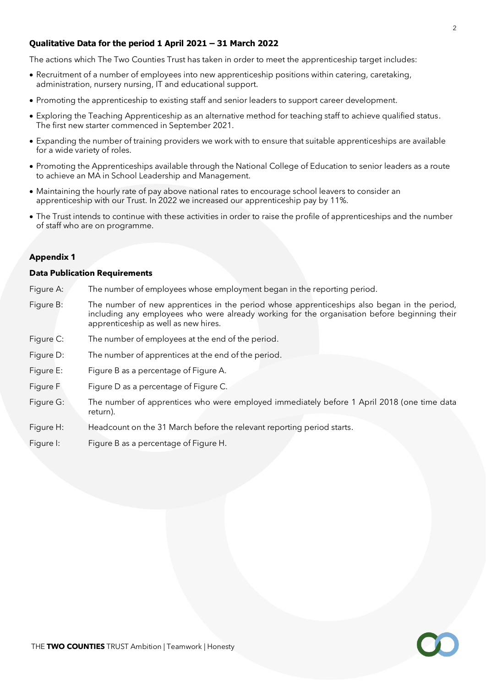# **Qualitative Data for the period 1 April 2021 – 31 March 2022**

The actions which The Two Counties Trust has taken in order to meet the apprenticeship target includes:

- Recruitment of a number of employees into new apprenticeship positions within catering, caretaking, administration, nursery nursing, IT and educational support.
- Promoting the apprenticeship to existing staff and senior leaders to support career development.
- Exploring the Teaching Apprenticeship as an alternative method for teaching staff to achieve qualified status. The first new starter commenced in September 2021.
- Expanding the number of training providers we work with to ensure that suitable apprenticeships are available for a wide variety of roles.
- Promoting the Apprenticeships available through the National College of Education to senior leaders as a route to achieve an MA in School Leadership and Management.
- Maintaining the hourly rate of pay above national rates to encourage school leavers to consider an apprenticeship with our Trust. In 2022 we increased our apprenticeship pay by 11%.
- The Trust intends to continue with these activities in order to raise the profile of apprenticeships and the number of staff who are on programme.

#### **Appendix 1**

#### **Data Publication Requirements**

- Figure A: The number of employees whose employment began in the reporting period.
- Figure B: The number of new apprentices in the period whose apprenticeships also began in the period, including any employees who were already working for the organisation before beginning their apprenticeship as well as new hires.
- Figure C: The number of employees at the end of the period.
- Figure D: The number of apprentices at the end of the period.
- Figure E: Figure B as a percentage of Figure A.
- Figure F Figure D as a percentage of Figure C.
- Figure G: The number of apprentices who were employed immediately before 1 April 2018 (one time data return).
- Figure H: Headcount on the 31 March before the relevant reporting period starts.
- Figure I: Figure B as a percentage of Figure H.